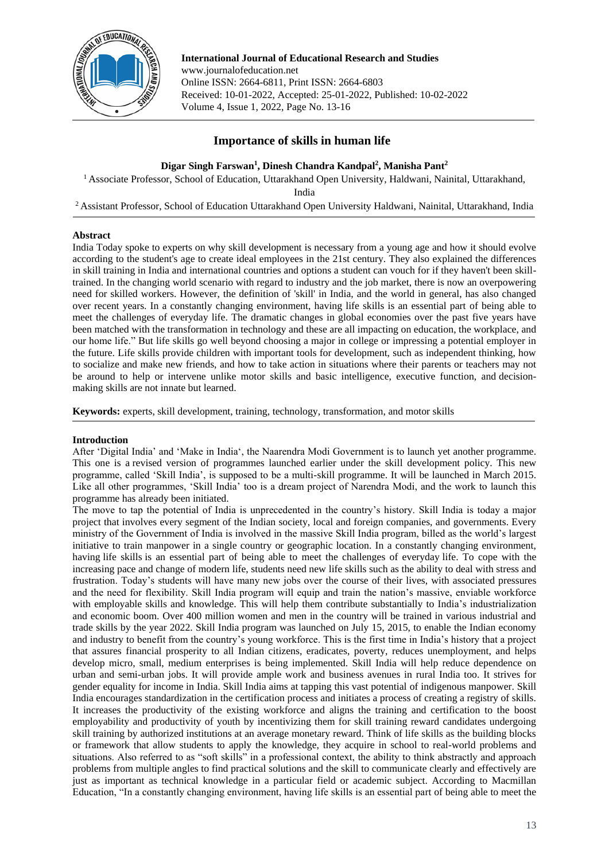

**International Journal of Educational Research and Studies** www.journalofeducation.net Online ISSN: 2664-6811, Print ISSN: 2664-6803 Received: 10-01-2022, Accepted: 25-01-2022, Published: 10-02-2022 Volume 4, Issue 1, 2022, Page No. 13-16

# **Importance of skills in human life**

**Digar Singh Farswan<sup>1</sup> , Dinesh Chandra Kandpal<sup>2</sup> , Manisha Pant<sup>2</sup>**

<sup>1</sup> Associate Professor, School of Education, Uttarakhand Open University, Haldwani, Nainital, Uttarakhand,

India

<sup>2</sup> Assistant Professor, School of Education Uttarakhand Open University Haldwani, Nainital, Uttarakhand, India

# **Abstract**

India Today spoke to experts on why skill development is necessary from a young age and how it should evolve according to the student's age to create ideal employees in the 21st century. They also explained the differences in skill training in India and international countries and options a student can vouch for if they haven't been skilltrained. In the changing world scenario with regard to industry and the job market, there is now an overpowering need for skilled workers. However, the definition of 'skill' in India, and the world in general, has also changed over recent years. In a constantly changing environment, having life skills is an essential part of being able to meet the challenges of everyday life. The dramatic changes in global economies over the past five years have been matched with the transformation in technology and these are all impacting on education, the workplace, and our home life." But life skills go well beyond choosing a major in college or impressing a potential employer in the future. Life skills provide children with important tools for development, such as independent thinking, how to socialize and make new friends, and how to take action in situations where their parents or teachers may not be around to help or intervene unlike motor skills and basic intelligence, executive function, and decisionmaking skills are not innate but learned.

**Keywords:** experts, skill development, training, technology, transformation, and motor skills

# **Introduction**

After 'Digital India' and 'Make in India', the Naarendra Modi Government is to launch yet another programme. This one is a revised version of programmes launched earlier under the skill development policy. This new programme, called 'Skill India', is supposed to be a multi-skill programme. It will be launched in March 2015. Like all other programmes, 'Skill India' too is a dream project of Narendra Modi, and the work to launch this programme has already been initiated.

The move to tap the potential of India is unprecedented in the country's history. Skill India is today a major project that involves every segment of the Indian society, local and foreign companies, and governments. Every ministry of the Government of India is involved in the massive Skill India program, billed as the world's largest initiative to train manpower in a single country or geographic location. In a constantly changing environment, having life skills is an essential part of being able to meet the challenges of everyday life. To cope with the increasing pace and change of modern life, students need new life skills such as the ability to deal with stress and frustration. Today's students will have many new jobs over the course of their lives, with associated pressures and the need for flexibility. Skill India program will equip and train the nation's massive, enviable workforce with employable skills and knowledge. This will help them contribute substantially to India's industrialization and economic boom. Over 400 million women and men in the country will be trained in various industrial and trade skills by the year 2022. Skill India program was launched on July 15, 2015, to enable the Indian economy and industry to benefit from the country's young workforce. This is the first time in India's history that a project that assures financial prosperity to all Indian citizens, eradicates, poverty, reduces unemployment, and helps develop micro, small, medium enterprises is being implemented. Skill India will help reduce dependence on urban and semi-urban jobs. It will provide ample work and business avenues in rural India too. It strives for gender equality for income in India. Skill India aims at tapping this vast potential of indigenous manpower. Skill India encourages standardization in the certification process and initiates a process of creating a registry of skills. It increases the productivity of the existing workforce and aligns the training and certification to the boost employability and productivity of youth by incentivizing them for skill training reward candidates undergoing skill training by authorized institutions at an average monetary reward. Think of life skills as the building blocks or framework that allow students to apply the knowledge, they acquire in school to real-world problems and situations. Also referred to as "soft skills" in a professional context, the ability to think abstractly and approach problems from multiple angles to find practical solutions and the skill to communicate clearly and effectively are just as important as technical knowledge in a particular field or academic subject. According to Macmillan Education, "In a constantly changing environment, having life skills is an essential part of being able to meet the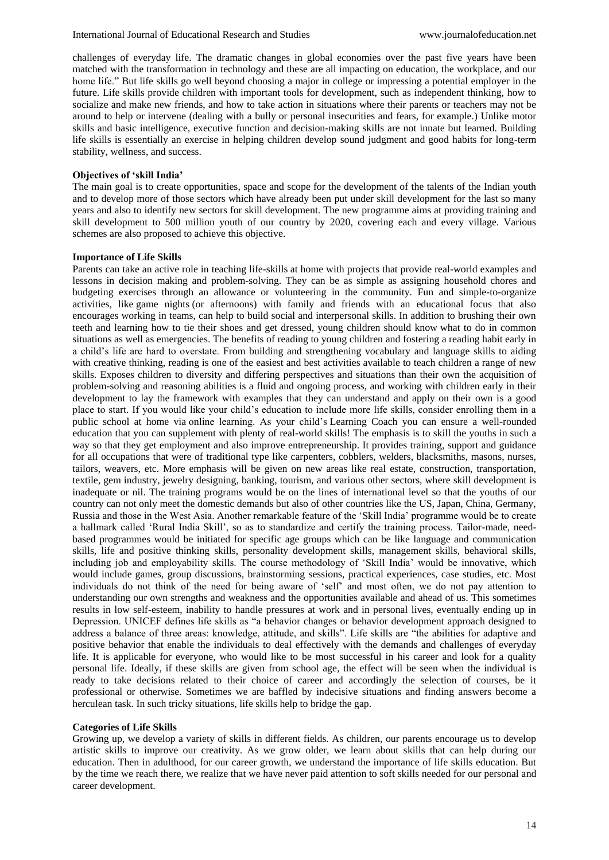challenges of everyday life. The dramatic changes in global economies over the past five years have been matched with the transformation in technology and these are all impacting on education, the workplace, and our home life." But life skills go well beyond choosing a major in college or impressing a potential employer in the future. Life skills provide children with important tools for development, such as independent thinking, how to socialize and make new friends, and how to take action in situations where their parents or teachers may not be around to help or intervene (dealing with a bully or personal insecurities and fears, for example.) Unlike motor skills and basic intelligence, executive function and decision-making skills are not innate but learned. Building life skills is essentially an exercise in helping children develop sound judgment and good habits for long-term stability, wellness, and success.

## **Objectives of 'skill India'**

The main goal is to create opportunities, space and scope for the development of the talents of the Indian youth and to develop more of those sectors which have already been put under skill development for the last so many years and also to identify new sectors for skill development. The new programme aims at providing training and skill development to 500 million youth of our country by 2020, covering each and every village. Various schemes are also proposed to achieve this objective.

#### **Importance of Life Skills**

Parents can take an active role in teaching life-skills at home with projects that provide real-world examples and lessons in decision making and problem-solving. They can be as simple as assigning household chores and budgeting exercises through an allowance or volunteering in the community. Fun and simple-to-organize activities, like game nights (or afternoons) with family and friends with an educational focus that also encourages working in teams, can help to build social and interpersonal skills. In addition to brushing their own teeth and learning how to tie their shoes and get dressed, young children should know what to do in common situations as well as emergencies. The benefits of reading to young children and fostering a reading habit early in a child's life are hard to overstate. From building and strengthening vocabulary and language skills to aiding with creative thinking, reading is one of the easiest and best activities available to teach children a range of new skills. Exposes children to diversity and differing perspectives and situations than their own the acquisition of problem-solving and reasoning abilities is a fluid and ongoing process, and working with children early in their development to lay the framework with examples that they can understand and apply on their own is a good place to start. If you would like your child's education to include more life skills, consider enrolling them in a public school at home via online learning. As your child's Learning Coach you can ensure a well-rounded education that you can supplement with plenty of real-world skills! The emphasis is to skill the youths in such a way so that they get employment and also improve entrepreneurship. It provides training, support and guidance for all occupations that were of traditional type like carpenters, cobblers, welders, blacksmiths, masons, nurses, tailors, weavers, etc. More emphasis will be given on new areas like real estate, construction, transportation, textile, gem industry, jewelry designing, banking, tourism, and various other sectors, where skill development is inadequate or nil. The training programs would be on the lines of international level so that the youths of our country can not only meet the domestic demands but also of other countries like the US, Japan, China, Germany, Russia and those in the West Asia. Another remarkable feature of the 'Skill India' programme would be to create a hallmark called 'Rural India Skill', so as to standardize and certify the training process. Tailor-made, needbased programmes would be initiated for specific age groups which can be like language and communication skills, life and positive thinking skills, personality development skills, management skills, behavioral skills, including job and employability skills. The course methodology of 'Skill India' would be innovative, which would include games, group discussions, brainstorming sessions, practical experiences, case studies, etc. Most individuals do not think of the need for being aware of 'self' and most often, we do not pay attention to understanding our own strengths and weakness and the opportunities available and ahead of us. This sometimes results in low self-esteem, inability to handle pressures at work and in personal lives, eventually ending up in Depression. UNICEF defines life skills as "a behavior changes or behavior development approach designed to address a balance of three areas: knowledge, attitude, and skills". Life skills are "the abilities for adaptive and positive behavior that enable the individuals to deal effectively with the demands and challenges of everyday life. It is applicable for everyone, who would like to be most successful in his career and look for a quality personal life. Ideally, if these skills are given from school age, the effect will be seen when the individual is ready to take decisions related to their choice of career and accordingly the selection of courses, be it professional or otherwise. Sometimes we are baffled by indecisive situations and finding answers become a herculean task. In such tricky situations, life skills help to bridge the gap.

#### **Categories of Life Skills**

Growing up, we develop a variety of skills in different fields. As children, our parents encourage us to develop artistic skills to improve our creativity. As we grow older, we learn about skills that can help during our education. Then in adulthood, for our career growth, we understand the importance of life skills education. But by the time we reach there, we realize that we have never paid attention to soft skills needed for our personal and career development.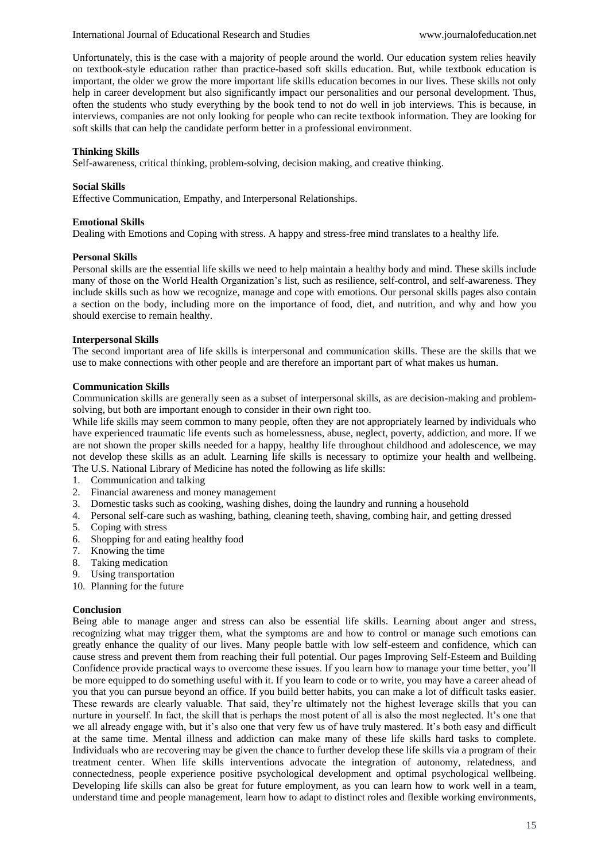Unfortunately, this is the case with a majority of people around the world. Our education system relies heavily on textbook-style education rather than practice-based soft skills education. But, while textbook education is important, the older we grow the more important life skills education becomes in our lives. These skills not only help in career development but also significantly impact our personalities and our personal development. Thus, often the students who study everything by the book tend to not do well in job interviews. This is because, in interviews, companies are not only looking for people who can recite textbook information. They are looking for soft skills that can help the candidate perform better in a professional environment.

## **Thinking Skills**

Self-awareness, critical thinking, problem-solving, decision making, and creative thinking.

## **Social Skills**

Effective Communication, Empathy, and Interpersonal Relationships.

#### **Emotional Skills**

Dealing with Emotions and Coping with stress. A happy and stress-free mind translates to a healthy life.

#### **Personal Skills**

Personal skills are the essential life skills we need to help maintain a healthy body and mind. These skills include many of those on the World Health Organization's list, such as resilience, self-control, and self-awareness. They include skills such as how we recognize, manage and cope with emotions. Our personal skills pages also contain a section on the body, including more on the importance of food, diet, and nutrition, and why and how you should exercise to remain healthy.

#### **Interpersonal Skills**

The second important area of life skills is interpersonal and communication skills. These are the skills that we use to make connections with other people and are therefore an important part of what makes us human.

#### **Communication Skills**

Communication skills are generally seen as a subset of interpersonal skills, as are decision-making and problemsolving, but both are important enough to consider in their own right too.

While life skills may seem common to many people, often they are not appropriately learned by individuals who have experienced traumatic life events such as homelessness, abuse, neglect, poverty, addiction, and more. If we are not shown the proper skills needed for a happy, healthy life throughout childhood and adolescence, we may not develop these skills as an adult. Learning life skills is necessary to optimize your health and wellbeing. The U.S. National Library of Medicine has noted the following as life skills:

- 1. Communication and talking
- 2. Financial awareness and money management
- 3. Domestic tasks such as cooking, washing dishes, doing the laundry and running a household
- 4. Personal self-care such as washing, bathing, cleaning teeth, shaving, combing hair, and getting dressed
- 5. Coping with stress
- 6. Shopping for and eating healthy food
- 7. Knowing the time
- 8. Taking medication
- 9. Using transportation
- 10. Planning for the future

#### **Conclusion**

Being able to manage anger and stress can also be essential life skills. Learning about anger and stress, recognizing what may trigger them, what the symptoms are and how to control or manage such emotions can greatly enhance the quality of our lives. Many people battle with low self-esteem and confidence, which can cause stress and prevent them from reaching their full potential. Our pages Improving Self-Esteem and Building Confidence provide practical ways to overcome these issues. If you learn how to manage your time better, you'll be more equipped to do something useful with it. If you learn to code or to write, you may have a career ahead of you that you can pursue beyond an office. If you build better habits, you can make a lot of difficult tasks easier. These rewards are clearly valuable. That said, they're ultimately not the highest leverage skills that you can nurture in yourself. In fact, the skill that is perhaps the most potent of all is also the most neglected. It's one that we all already engage with, but it's also one that very few us of have truly mastered. It's both easy and difficult at the same time. Mental illness and addiction can make many of these life skills hard tasks to complete. Individuals who are recovering may be given the chance to further develop these life skills via a program of their treatment center. When life skills interventions advocate the integration of autonomy, relatedness, and connectedness, people experience positive psychological development and optimal psychological wellbeing. Developing life skills can also be great for future employment, as you can learn how to work well in a team, understand time and people management, learn how to adapt to distinct roles and flexible working environments,